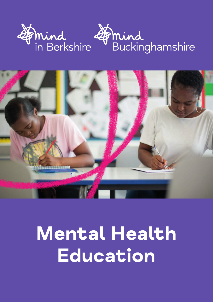

# mind<br>Buckinghamshire



# **Mental Health Education**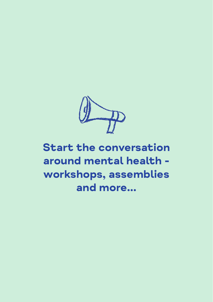

# **Start the conversation around mental health workshops, assemblies and more…**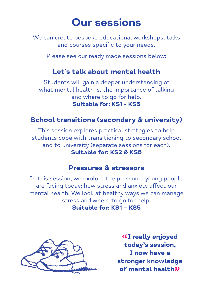# **Our sessions**

We can create bespoke educational workshops, talks and courses specific to your needs.

Please see our ready made sessions below:

#### **Let's talk about mental health**

Students will gain a deeper understanding of what mental health is, the importance of talking and where to go for help. **Suitable for: KS1 - KS5**

#### **School transitions (secondary & university)**

This session explores practical strategies to help students cope with transitioning to secondary school and to university (separate sessions for each). **Suitable for: KS2 & KS5** 

#### **Pressures & stressors**

In this session, we explore the pressures young people are facing today; how stress and anxiety affect our mental health. We look at healthy ways we can manage stress and where to go for help. **Suitable for: KS1 – KS5**



 $6I$  **really enjoyed today's session, I now have a stronger knowledge**  of mental health<sup>9</sup>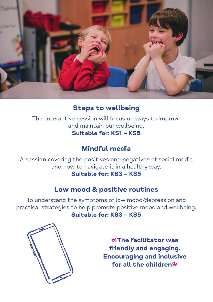

#### **Steps to wellbeing**

This interactive session will focus on ways to improve and maintain our wellbeing. **Suitable for: KS1 – KS5**

#### **Mindful media**

A session covering the positives and negatives of social media and how to navigate it in a healthy way. **Suitable for: KS3 – KS5**

#### **Low mood & positive routines**

To understand the symptoms of low mood/depression and practical strategies to help promote positive mood and wellbeing. **Suitable for: KS3 – KS5**



"The facilitator was friendly and engaging. Encouraging and inclusive for all the children $\mathcal P$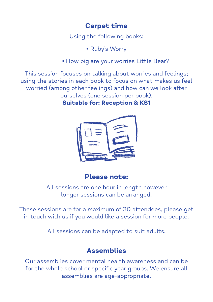#### **Carpet time**

Using the following books:

• Ruby's Worry

• How big are your worries Little Bear?

This session focuses on talking about worries and feelings; using the stories in each book to focus on what makes us feel worried (among other feelings) and how can we look after ourselves (one session per book). **Suitable for: Reception & KS1**



#### **Please note:**

All sessions are one hour in length however longer sessions can be arranged.

These sessions are for a maximum of 30 attendees, please get in touch with us if you would like a session for more people.

All sessions can be adapted to suit adults.

#### **Assemblies**

Our assemblies cover mental health awareness and can be for the whole school or specific year groups. We ensure all assemblies are age-appropriate.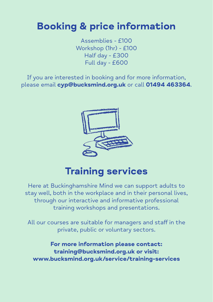# **Booking & price information**

Assemblies - £100 Workshop (1hr) - £100 Half day - £300 Full day - £600

If you are interested in booking and for more information, please email **cyp@bucksmind.org.uk** or call **01494 463364**.



# **Training services**

Here at Buckinghamshire Mind we can support adults to stay well, both in the workplace and in their personal lives, through our interactive and informative professional training workshops and presentations.

All our courses are suitable for managers and staff in the private, public or voluntary sectors.

**For more information please contact: training@bucksmind.org.uk or visit: www.bucksmind.org.uk/service/training-services**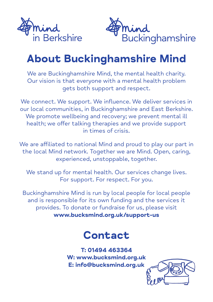



# **About Buckinghamshire Mind**

We are Buckinghamshire Mind, the mental health charity. Our vision is that everyone with a mental health problem gets both support and respect.

We connect. We support. We influence. We deliver services in our local communities, in Buckinghamshire and East Berkshire. We promote wellbeing and recovery; we prevent mental ill health; we offer talking therapies and we provide support in times of crisis.

We are affiliated to national Mind and proud to play our part in the local Mind network. Together we are Mind. Open, caring, experienced, unstoppable, together.

We stand up for mental health. Our services change lives. For support. For respect. For you.

Buckinghamshire Mind is run by local people for local people and is responsible for its own funding and the services it provides. To donate or fundraise for us, please visit **www.bucksmind.org.uk/support-us**

# **Contact**

**T: 01494 463364 W: www.bucksmind.org.uk E: info@bucksmind.org.uk**